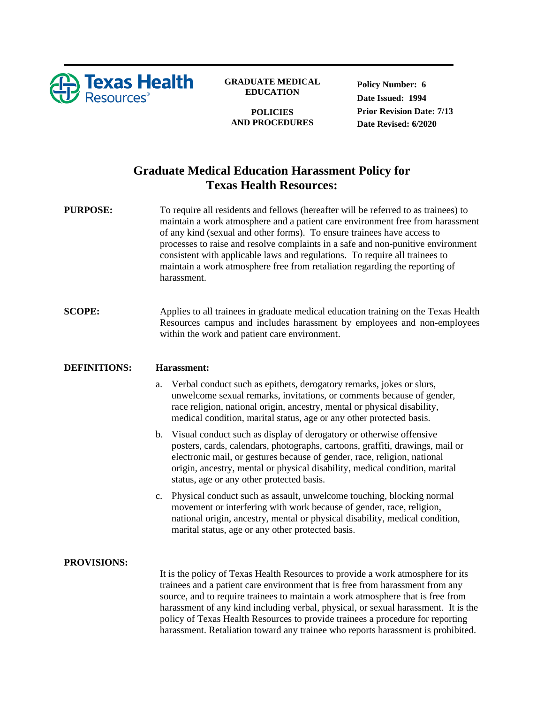

## **GRADUATE MEDICAL EDUCATION**

**POLICIES AND PROCEDURES** **Policy Number: 6 Date Issued: 1994 Prior Revision Date: 7/13 Date Revised: 6/2020**

## **Graduate Medical Education Harassment Policy for Texas Health Resources:**

**PURPOSE:** To require all residents and fellows (hereafter will be referred to as trainees) to maintain a work atmosphere and a patient care environment free from harassment of any kind (sexual and other forms). To ensure trainees have access to processes to raise and resolve complaints in a safe and non-punitive environment consistent with applicable laws and regulations. To require all trainees to maintain a work atmosphere free from retaliation regarding the reporting of harassment.

**SCOPE:** Applies to all trainees in graduate medical education training on the Texas Health Resources campus and includes harassment by employees and non-employees within the work and patient care environment.

## **DEFINITIONS: Harassment:**

- a. Verbal conduct such as epithets, derogatory remarks, jokes or slurs, unwelcome sexual remarks, invitations, or comments because of gender, race religion, national origin, ancestry, mental or physical disability, medical condition, marital status, age or any other protected basis.
- b. Visual conduct such as display of derogatory or otherwise offensive posters, cards, calendars, photographs, cartoons, graffiti, drawings, mail or electronic mail, or gestures because of gender, race, religion, national origin, ancestry, mental or physical disability, medical condition, marital status, age or any other protected basis.
- c. Physical conduct such as assault, unwelcome touching, blocking normal movement or interfering with work because of gender, race, religion, national origin, ancestry, mental or physical disability, medical condition, marital status, age or any other protected basis.

## **PROVISIONS:**

It is the policy of Texas Health Resources to provide a work atmosphere for its trainees and a patient care environment that is free from harassment from any source, and to require trainees to maintain a work atmosphere that is free from harassment of any kind including verbal, physical, or sexual harassment. It is the policy of Texas Health Resources to provide trainees a procedure for reporting harassment. Retaliation toward any trainee who reports harassment is prohibited.